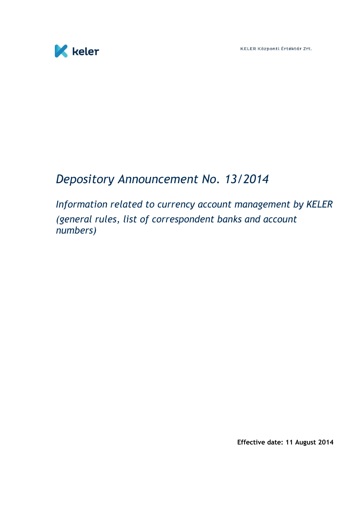



# *Depository Announcement No. 13/2014*

*Information related to currency account management by KELER (general rules, list of correspondent banks and account numbers)*

**Effective date: 11 August 2014**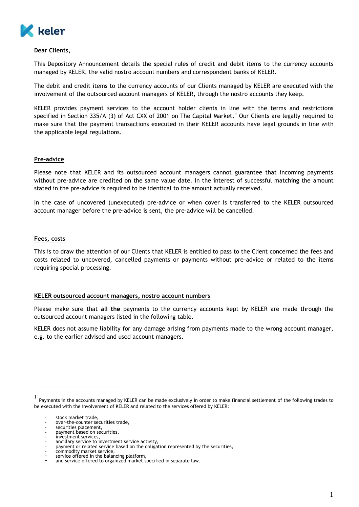

#### **Dear Clients,**

This Depository Announcement details the special rules of credit and debit items to the currency accounts managed by KELER, the valid nostro account numbers and correspondent banks of KELER.

The debit and credit items to the currency accounts of our Clients managed by KELER are executed with the involvement of the outsourced account managers of KELER, through the nostro accounts they keep.

KELER provides payment services to the account holder clients in line with the terms and restrictions specified in Section 335/A (3) of Act CXX of 2001 on The Capital Market.<sup>1</sup> Our Clients are legally required to make sure that the payment transactions executed in their KELER accounts have legal grounds in line with the applicable legal regulations.

### **Pre-advice**

Please note that KELER and its outsourced account managers cannot guarantee that incoming payments without pre-advice are credited on the same value date. In the interest of successful matching the amount stated in the pre-advice is required to be identical to the amount actually received.

In the case of uncovered (unexecuted) pre-advice or when cover is transferred to the KELER outsourced account manager before the pre-advice is sent, the pre-advice will be cancelled.

#### **Fees, costs**

This is to draw the attention of our Clients that KELER is entitled to pass to the Client concerned the fees and costs related to uncovered, cancelled payments or payments without pre-advice or related to the items requiring special processing.

#### **KELER outsourced account managers, nostro account numbers**

Please make sure that **all the** payments to the currency accounts kept by KELER are made through the outsourced account managers listed in the following table.

KELER does not assume liability for any damage arising from payments made to the wrong account manager, e.g. to the earlier advised and used account managers.

 $\overline{a}$ 

<sup>1</sup> Payments in the accounts managed by KELER can be made exclusively in order to make financial settlement of the following trades to be executed with the involvement of KELER and related to the services offered by KELER:

stock market trade,

over-the-counter securities trade,

securities placement,

payment based on securities,

<sup>-</sup> investment services, - ancillary service to investment service activity,

payment or related service based on the obligation represented by the securities,

commodity market service,

service offered in the balancing platform,

and service offered to organized market specified in separate law.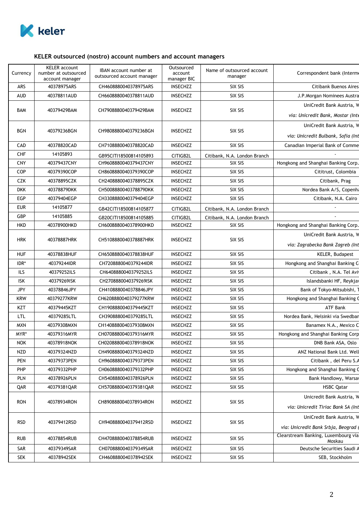

## **KELER outsourced (nostro) account numbers and account managers**

| Currency   | <b>KELER</b> account<br>number at outsourced<br>account manager | IBAN account number at<br>outsourced account manager | Outsourced<br>account<br>manager BIC | Name of outsourced account<br>manager | Correspondent bank (Interme                   |
|------------|-----------------------------------------------------------------|------------------------------------------------------|--------------------------------------|---------------------------------------|-----------------------------------------------|
| ARS        | 40378975ARS                                                     | CH4608880040378975ARS                                | <b>INSECHZZ</b>                      | SIX SIS                               | <b>Citibank Buenos Aires</b>                  |
| AUD        | 40378811AUD                                                     | CH6608880040378811AUD                                | <b>INSECHZZ</b>                      | SIX SIS                               | J.P.Morgan Nominees Austra                    |
|            |                                                                 |                                                      |                                      |                                       | UniCredit Bank Austria, W                     |
| BAM        | 40379429BAM                                                     | CH7908880040379429BAM                                | <b>INSECHZZ</b>                      | SIX SIS                               | via: Unicredit Bank, Mostar (Inte             |
| BGN        | 40379236BGN                                                     | CH9808880040379236BGN                                | <b>INSECHZZ</b>                      | SIX SIS                               | UniCredit Bank Austria, W                     |
|            |                                                                 |                                                      |                                      |                                       | via: Unicredit Bulbank, Sofia (Int            |
| CAD        | 40378820CAD                                                     | CH7108880040378820CAD                                | <b>INSECHZZ</b>                      | SIX SIS                               | Canadian Imperial Bank of Comme               |
| <b>CHF</b> | 14105893                                                        | GB95CITI18500814105893                               | CITIGB2L                             | Citibank, N.A. London Branch          |                                               |
| <b>CNY</b> | 40379437CNY                                                     | CH9608880040379437CNY                                | <b>INSECHZZ</b>                      | SIX SIS                               | Hongkong and Shanghai Banking Corp.           |
| COP        | 40379390COP                                                     | CH8608880040379390COP                                | <b>INSECHZZ</b>                      | SIX SIS                               | Cititrust, Colombia                           |
| <b>CZK</b> | 40378895CZK                                                     | CH2408880040378895CZK                                | <b>INSECHZZ</b>                      | SIX SIS                               | Citibank, Prag                                |
| <b>DKK</b> | 40378879DKK                                                     | CH5008880040378879DKK                                | <b>INSECHZZ</b>                      | SIX SIS                               | Nordea Bank A/S, Copenha                      |
| <b>EGP</b> | 40379404EGP                                                     | CH3308880040379404EGP                                | <b>INSECHZZ</b>                      | SIX SIS                               | Citibank, N.A. Cairo                          |
| <b>EUR</b> | 14105877                                                        | GB42CITI18500814105877                               | CITIGB2L                             | Citibank, N.A. London Branch          |                                               |
| GBP        | 14105885                                                        | GB20CITI18500814105885                               | CITIGB2L                             | Citibank, N.A. London Branch          |                                               |
| <b>HKD</b> | 40378900HKD                                                     | CH6008880040378900HKD                                | <b>INSECHZZ</b>                      | SIX SIS                               | Hongkong and Shanghai Banking Corp.           |
|            | 40378887HRK                                                     |                                                      |                                      | SIX SIS                               | UniCredit Bank Austria, W                     |
| <b>HRK</b> |                                                                 | CH5108880040378887HRK                                | <b>INSECHZZ</b>                      |                                       | via: Zagrabecka Bank Zagreb (Int              |
| <b>HUF</b> | 40378838HUF                                                     | CH6508880040378838HUF                                | <b>INSECHZZ</b>                      | SIX SIS                               | KELER, Budapest                               |
| IDR*       | 40379244IDR                                                     | CH7208880040379244IDR                                | <b>INSECHZZ</b>                      | SIX SIS                               | Hongkong and Shanghai Banking C               |
| ILS        | 40379252ILS                                                     | CH6408880040379252ILS                                | <b>INSECHZZ</b>                      | SIX SIS                               | Citibank, N.A. Tel Avi                        |
| <b>ISK</b> | 40379269ISK                                                     | CH2708880040379269ISK                                | <b>INSECHZZ</b>                      | SIX SIS                               | Islandsbanki HF, Reykjav                      |
| <b>JPY</b> | 40378846JPY                                                     | CH4108880040378846JPY                                | <b>INSECHZZ</b>                      | SIX SIS                               | Bank of Tokyo-Mitsubishi,                     |
| KRW        | 40379277KRW                                                     | CH6208880040379277KRW                                | <b>INSECHZZ</b>                      | SIX SIS                               | Hongkong and Shanghai Banking O               |
| KZT        | 40379445KZT                                                     | CH1908880040379445KZT                                | <b>INSECHZZ</b>                      | SIX SIS                               | ATF Bank                                      |
| <b>LTL</b> | 40379285LTL                                                     | CH3908880040379285LTL                                | <b>INSECHZZ</b>                      | SIX SIS                               | Nordea Bank, Helsinki via Swedban             |
| <b>MXN</b> | 40379308MXN                                                     | CH1408880040379308MXN                                | <b>INSECHZZ</b>                      | SIX SIS                               | Banamex N.A., Mexico C                        |
| MYR*       | 40379316MYR                                                     | CH0708880040379316MYR                                | INSECHZZ                             | SIX SIS                               | Hongkong and Shanghai Banking Corp            |
| <b>NOK</b> | 40378918NOK                                                     | CH0208880040378918NOK                                | <b>INSECHZZ</b>                      | SIX SIS                               | DNB Bank ASA, Oslo                            |
| NZD        | 40379324NZD                                                     | CH4908880040379324NZD                                | <b>INSECHZZ</b>                      | SIX SIS                               | ANZ National Bank Ltd. Well                   |
| <b>PEN</b> | 40379373PEN                                                     | CH9608880040379373PEN                                | <b>INSECHZZ</b>                      | SIX SIS                               | Citibank, del Peru S.A                        |
| <b>PHP</b> | 40379332PHP                                                     | CH0608880040379332PHP                                | <b>INSECHZZ</b>                      | SIX SIS                               | Hongkong and Shanghai Banking C               |
| <b>PLN</b> | 40378926PLN                                                     | CH5408880040378926PLN                                | <b>INSECHZZ</b>                      | SIX SIS                               | Bank Handlowy, Warsay                         |
| QAR        | 40379381QAR                                                     | CH5708880040379381QAR                                | <b>INSECHZZ</b>                      | SIX SIS                               | <b>HSBC Qatar</b>                             |
|            | 40378934RON                                                     | CH8908880040378934RON                                | <b>INSECHZZ</b>                      | SIX SIS                               | Unicredit Bank Austria, W                     |
| <b>RON</b> |                                                                 |                                                      |                                      |                                       | via: Unicredit Tiriac Bank SA (Int            |
| <b>RSD</b> | 40379412RSD                                                     | CH9408880040379412RSD                                | <b>INSECHZZ</b>                      | SIX SIS                               | UniCredit Bank Austria, W                     |
|            |                                                                 |                                                      |                                      |                                       | via: Unicredit Bank Srbja, Beograd            |
| <b>RUB</b> | 40378854RUB                                                     | CH4708880040378854RUB                                | <b>INSECHZZ</b>                      | SIX SIS                               | Clearstream Banking, Luxembourg via<br>Moskau |
| SAR        | 40379349SAR                                                     | CH0708880040379349SAR                                | <b>INSECHZZ</b>                      | SIX SIS                               | Deutsche Securities Saudi A                   |
| SEK        | 40378942SEK                                                     | CH4608880040378942SEK                                | INSECHZZ                             | SIX SIS                               | SEB, Stockholm                                |
|            |                                                                 |                                                      |                                      |                                       |                                               |